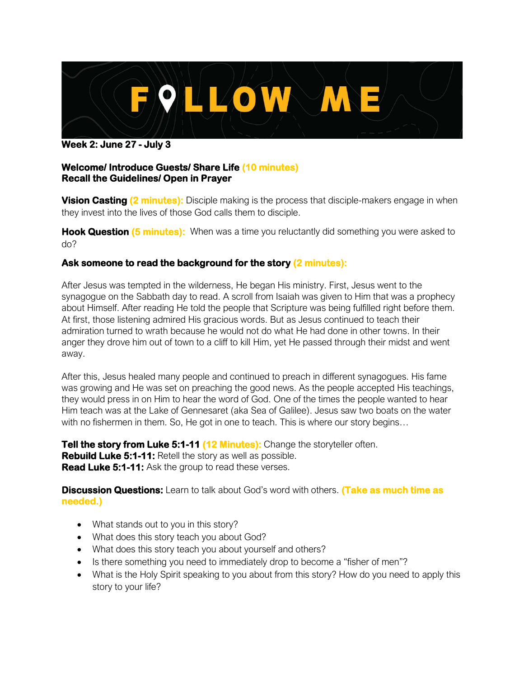

**Week 2: June 27 - July 3**

## **Welcome/ Introduce Guests/ Share Life (10 minutes) Recall the Guidelines/ Open in Prayer**

**Vision Casting (2 minutes):** Disciple making is the process that disciple-makers engage in when they invest into the lives of those God calls them to disciple.

**Hook Question (5 minutes):** When was a time you reluctantly did something you were asked to do?

## **Ask someone to read the background for the story (2 minutes):**

After Jesus was tempted in the wilderness, He began His ministry. First, Jesus went to the synagogue on the Sabbath day to read. A scroll from Isaiah was given to Him that was a prophecy about Himself. After reading He told the people that Scripture was being fulfilled right before them. At first, those listening admired His gracious words. But as Jesus continued to teach their admiration turned to wrath because he would not do what He had done in other towns. In their anger they drove him out of town to a cliff to kill Him, yet He passed through their midst and went away.

After this, Jesus healed many people and continued to preach in different synagogues. His fame was growing and He was set on preaching the good news. As the people accepted His teachings, they would press in on Him to hear the word of God. One of the times the people wanted to hear Him teach was at the Lake of Gennesaret (aka Sea of Galilee). Jesus saw two boats on the water with no fishermen in them. So, He got in one to teach. This is where our story begins…

**Tell the story from Luke 5:1-11 (12 Minutes):** Change the storyteller often. **Rebuild Luke 5:1-11:** Retell the story as well as possible. **Read Luke 5:1-11:** Ask the group to read these verses.

**Discussion Questions:** Learn to talk about God's word with others. **(Take as much time as needed.)**

- What stands out to you in this story?
- What does this story teach you about God?
- What does this story teach you about yourself and others?
- Is there something you need to immediately drop to become a "fisher of men"?
- What is the Holy Spirit speaking to you about from this story? How do you need to apply this story to your life?